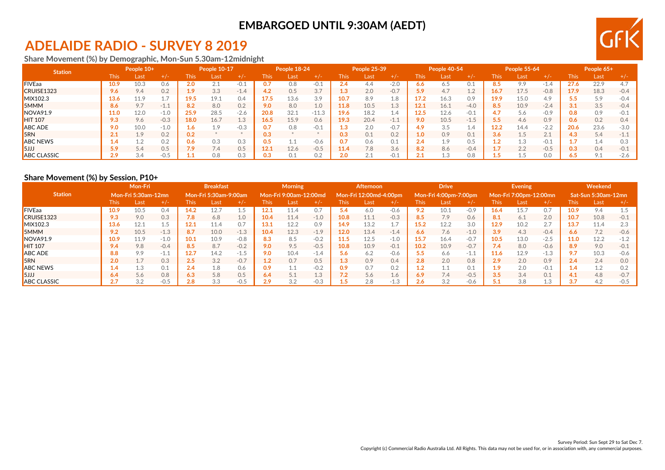## **EMBARGOED UNTIL 9:30AM (AEDT)**

## **ADELAIDE RADIO - SURVEY 8 2019**

**Share Movement (%) by Demographic, Mon-Sun 5.30am-12midnight**

| <b>Station</b>     | People 10+ |      |        | People 10-17 |      |        | People 18-24 |       |         | People 25-39 |      |        | People 40-54 |      |                | <b>People 55-64</b> |      |        | People 65+ |      |        |
|--------------------|------------|------|--------|--------------|------|--------|--------------|-------|---------|--------------|------|--------|--------------|------|----------------|---------------------|------|--------|------------|------|--------|
|                    | This       | Last | $+/-$  | <b>This</b>  | Last | +/-    | This         | ⁄Last | $+/-$   | This.        | Last | $+/-$  | <b>This</b>  | Last | $+/-$          | This                | Last | $+/-$  | This       | Last | $+/-$  |
| <b>FIVEaa</b>      | 10.9       | 10.3 | 0.6    | 2.0          |      | $-0.$  |              | 9.8   | $-0.1$  | 2.4          | 4.4  | $-2.0$ | 6.6          | 6.5  | U. J           |                     | 99   | -1.4   |            | 22.9 | 4.7    |
| CRUISE1323         | 9.6        | 9.4  | 0.2    | 1.9          | 3.3  | $-1.4$ |              | 0.5   | 3.7     | 1.3          | 2.0  | $-0.7$ | 5.9          | 4.7  | 1 <sub>2</sub> | 16.7                | 17.5 | $-0.8$ | 17.9       | 18.3 | $-0.4$ |
| MIX102.3           | 13.6       | 11.9 |        | 19.5         | 19.1 | 0.4    | 17.5         | 13.6  | 3.9     | 10.7         | 8.9  | 1.8    | 17.2         | 16.3 | 0.9            | 19.9                | 15.0 | 4.9    | 5.5        | 5.9  | $-0.4$ |
| <b>5MMM</b>        | 8.6        | 9.7  | $-1.1$ | 8.2          | 8.0  | 0.2    | 9.0          | 8.0   | 1.0     | 11.8         | 10.5 | 1.3    | 12.1         | 16.1 | $-4.0$         | 8.5                 | 10.9 | $-2.4$ |            | 3.5  | $-0.4$ |
| NOVA91.9           | 11.0       | 12.0 | $-1.0$ | 25.9         | 28.5 | $-2.6$ | 20.8         | 32.1  | $-11.3$ | 19.6         | 18.2 | 1.4    | 12.5         | 12.6 | $-0.1$         |                     | 5.6  | $-0.9$ | 0.8        | 0.9  | $-0.1$ |
| <b>HIT 107</b>     | 9.3        | 9.6  | $-0.3$ | 18.0         | 16.7 | 1.3    | 16.5         | 15.9  | 0.6     | 19.3         | 20.4 | $-1.1$ | 9.0          | 10.5 | $-1.5$         |                     | 4.6  | 0.9    | 0.6        | 0.2  | 0.4    |
| <b>ABC ADE</b>     | 9.0        | 10.0 | $-1.0$ | 1.6          | 1.9  | $-0.3$ |              | 0.8   | $-0.1$  | 1.3          | 2.0  | $-0.7$ | 4.9          | 3.5  | $\perp$ .4     | 12.2                | 14.4 | $-2.2$ | 20.6       | 23.6 | $-3.0$ |
| <b>5RN</b>         |            | 1.9  | 0.2    | 0.2          |      |        |              |       |         | 0.3          | 0.1  | 0.2    | 1.0          | 0.9  | 0.1            | 3.6                 | 1.5  | 2.1    | 4.3        | 5.4  | $-11$  |
| <b>ABC NEWS</b>    | 4.،        | 1.2  | 0.2    | 0.6          | 0.3  | 0.3    |              |       | $-0.6$  | 0.7          | 0.6  | 0.1    | 2.4          | 1.9  | 0.5            |                     | 1.3  | $-0.1$ |            | 1.4  | 0.3    |
| ISJJJ              | 5.9        | 5.4  | 0.5    | 7.9          | 7.4  | 0.5    | 12.1         | 12.6  | $-0.5$  | 11.4         | 7.8  | 3.6    | 8.2          | 8.6  | $-0.4$         |                     | 2.2  | $-0.5$ | 0.3        | 0.4  | $-0.1$ |
| <b>ABC CLASSIC</b> | 2.9        | 3.4  | -0.5   |              | 0.8  | 0.3    |              |       | 0.2     | 2.0          | 2.1  | $-0.1$ | 24           |      | 0.8            |                     |      | 0.0    | 6.5        | 9.1  | $-2.6$ |

#### **Share Movement (%) by Session, P10+**

|                    | <b>Mon-Fri</b><br><b>Mon-Fri 5:30am-12mn</b> |      |        | <b>Breakfast</b><br>Mon-Fri 5:30am-9:00am . |      |        | <b>Morning</b><br>Mon-Fri 9:00am-12:00md |      |        | Afternoon<br>Mon-Fri 12:00md-4:00pm |      |        | <b>Drive</b><br>Mon-Fri 4:00pm-7:00pm |      |        |                        | <b>Evening</b> |        | Weekend             |      |        |  |
|--------------------|----------------------------------------------|------|--------|---------------------------------------------|------|--------|------------------------------------------|------|--------|-------------------------------------|------|--------|---------------------------------------|------|--------|------------------------|----------------|--------|---------------------|------|--------|--|
| <b>Station</b>     |                                              |      |        |                                             |      |        |                                          |      |        |                                     |      |        |                                       |      |        | Mon-Fri 7:00pm-12:00mn |                |        | Sat-Sun 5:30am-12mn |      |        |  |
|                    | <b>This</b>                                  | Last | $+/-$  | <b>This</b>                                 | Last | $+/-$  | This                                     | Last | $+/-$  | This                                | Last | $+/-$  | This                                  | Last | $+/-$  | This                   | Last           | $+/-$  | This.               | Last | $+/-$  |  |
| <b>FIVEaa</b>      | 10.9                                         | 10.5 | 0.4    | 14.2                                        |      |        |                                          |      | 0.7    | 5.4                                 | 6.0  | $-0.6$ | 9.2                                   | 10.1 | $-0.9$ | 16.4                   | 15.7           | 0.7    | 10.9                | 9.4  |        |  |
| CRUISE1323         | 9.3                                          | 9.0  | 0.3    | 7.8                                         | 6.8  | 1.0    | 10.4                                     | 11.4 | $-1.0$ | 10.8                                | 11.1 | $-0.3$ | 8.5                                   | 7.9  | 0.6    | 8.1                    | 6.1            | 2.0    | 10.7                | 10.8 | $-0.1$ |  |
| MIX102.3           | 13.6                                         | 12.1 | 1.5    | 12.1                                        | 11.4 | 0.7    | 13.1                                     | 12.2 | 0.9    | 14.9                                | 13.2 |        | 15.2                                  | 12.2 | 3.0    | 12.9                   | 10.2           | 2.7    | 13.7                | 11.4 | 2.3    |  |
| <b>5MMM</b>        | 9.2                                          | 10.5 | $-1.3$ | 8.7                                         | 10.0 | $-1.3$ | 10.4                                     | 12.3 | $-1.9$ | 12.0                                | 13.4 | $-1.4$ | 6.6                                   | 7.6  | $-1.0$ | 3.9                    | 4.3            | $-0.4$ | 6.6                 | 7.2  | $-0.6$ |  |
| NOVA91.9           | 10.9                                         | 11.9 | $-1.0$ | 10.1                                        | 10.9 | $-0.8$ | 8.3                                      | 8.5  | $-0.2$ | 11.5                                | 12.5 | $-1.0$ | 15.7                                  | 16.4 | $-0.7$ | 10.5                   | 13.0           | $-2.5$ | 11.0                | 12.2 | $-1.2$ |  |
| <b>HIT 107</b>     | 9.4                                          | 9.8  | $-0.4$ | 8.5                                         | 8.7  | $-0.2$ | 9.0                                      | 9.5  | $-0.5$ | 10.8                                | 10.9 | $-0.1$ | 10.2                                  | 10.9 | $-0.7$ | 7.4                    | 8.0            | $-0.6$ | 8.9                 | 9.0  | $-0.1$ |  |
| <b>ABC ADE</b>     | 8.8                                          | 9.9  | $-1.1$ | 12.7                                        | 14.2 | $-1.5$ | 9.0                                      | 10.4 | $-1.4$ | 5.6                                 | 6.2  | $-0.6$ | 5.5                                   | 6.6  | $-1.$  | 11.6                   | 12.9           | $-1.3$ | 9.7                 | 10.3 | $-0.6$ |  |
| <b>I</b> SRN       | 2.0                                          | 1.7  | 0.3    | 2.5                                         | 3.2  | $-0.7$ | $\mathbf{.2}$                            | 0.7  | 0.5    | $1.3\,$                             | 0.9  | 0.4    | 2.8                                   | 2.0  | 0.8    | 2.9                    | 2.0            | 0.9    | 2.4                 | 2.4  | 0.0    |  |
| <b>ABC NEWS</b>    | $1.4^{\circ}$                                | 1.3  | 0.1    | 2.4                                         | 1.8  | 0.6    | 0.9                                      |      | $-0.2$ | 0.9                                 | 0.7  | 0.2    | 1.2                                   |      | 0.1    | 1.9                    | 2.0            | $-0.1$ |                     | 1.2  | 0.2    |  |
| $\overline{5JJ}$   | 6.4                                          | 5.6  | 0.8    | 6.3                                         | 5.8  | 0.5    | 6.4                                      | 5.1  | 1.3    | 7.2                                 | 5.6  | 1.6    | 6.9                                   | 7.4  | $-0.5$ | 3.5                    | 3.4            | 0.1    | 4.1                 | 4.8  | $-0.7$ |  |
| <b>ABC CLASSIC</b> | 2.7                                          | 3.2  | $-0.5$ | 2.8                                         | 3.3  | $-0.5$ | 2.9                                      | 3.2  | $-0.3$ |                                     | 2.8  | $-1.3$ | 2.6                                   | 3.2  | $-0.6$ |                        | 3.8            | 1.3    | 3.7                 | 4.2  | $-0.5$ |  |